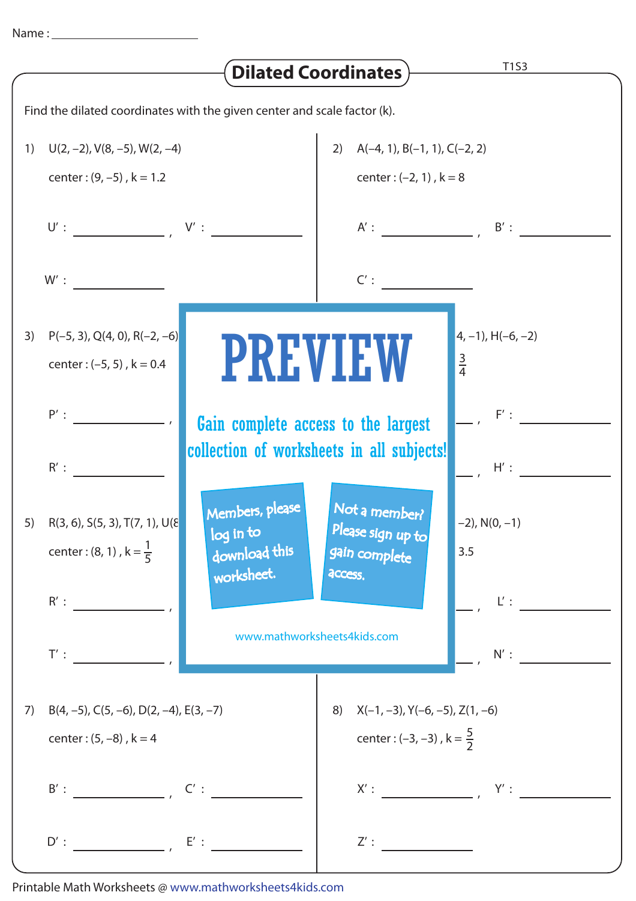|                                                                          |                                                                                                                                           | <b>Dilated Coordinates</b> )                                                         | T1S3                     |
|--------------------------------------------------------------------------|-------------------------------------------------------------------------------------------------------------------------------------------|--------------------------------------------------------------------------------------|--------------------------|
| Find the dilated coordinates with the given center and scale factor (k). |                                                                                                                                           |                                                                                      |                          |
| 1)                                                                       | $U(2, -2)$ , $V(8, -5)$ , $W(2, -4)$<br>center: $(9, -5)$ , $k = 1.2$                                                                     | 2) $A(-4, 1), B(-1, 1), C(-2, 2)$<br>center: $(-2, 1)$ , $k = 8$                     |                          |
|                                                                          |                                                                                                                                           | $A':$ $B':$ $B':$                                                                    |                          |
|                                                                          |                                                                                                                                           | C':                                                                                  |                          |
| 3)                                                                       | $P(-5, 3), Q(4, 0), R(-2, -6)$<br>center: $(-5, 5)$ , $k = 0.4$                                                                           | <b>PREVIEW</b><br>$rac{3}{4}$                                                        | $(4, -1)$ , H $(-6, -2)$ |
|                                                                          | $P'$ :<br>$R'$ :                                                                                                                          | Gain complete access to the largest<br>collection of worksheets in all subjects!     | F':<br>$H'$ :            |
|                                                                          | Members, please<br>5) $R(3, 6), S(5, 3), T(7, 1), U(8)$<br>log in to<br>center : (8, 1), $k = \frac{1}{5}$<br>download this<br>worksheet. | Not a member?<br>Please sign up to<br>gain complete<br>3.5<br>access.                | $-2$ ), N(0, $-1$ )      |
|                                                                          | T':                                                                                                                                       | www.mathworksheets4kids.com                                                          | $L'$ :<br>$N'$ :         |
| 7)                                                                       | $B(4, -5)$ , C(5, -6), D(2, -4), E(3, -7)<br>center: $(5, -8)$ , $k = 4$                                                                  | 8) $X(-1, -3)$ , $Y(-6, -5)$ , $Z(1, -6)$<br>center : $(-3, -3)$ , $k = \frac{5}{2}$ |                          |
|                                                                          | $B':$ $C':$ $C':$                                                                                                                         |                                                                                      |                          |
|                                                                          | $D':$ $E':$                                                                                                                               | $Z^{\prime}$ :                                                                       |                          |

Printable Math Worksheets @ www.mathworksheets4kids.com